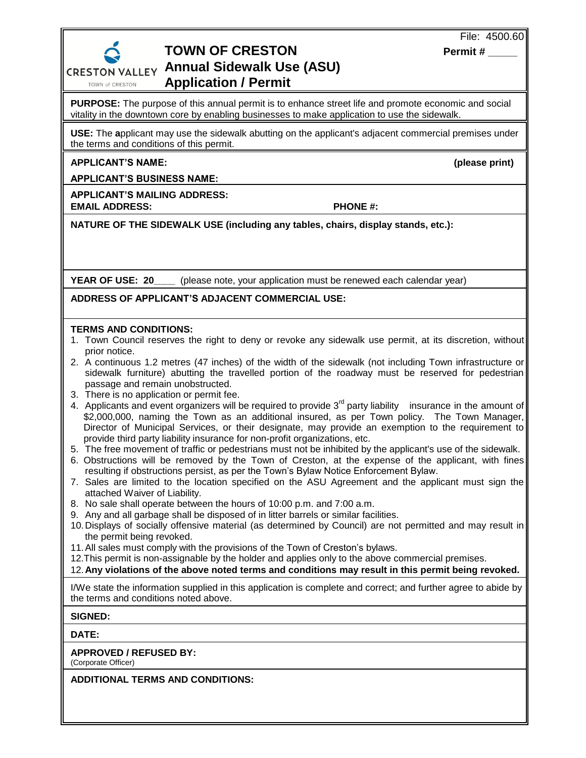

## **TOWN OF CRESTON** Permit # **Annual Sidewalk Use (ASU) Application / Permit**

**PURPOSE:** The purpose of this annual permit is to enhance street life and promote economic and social vitality in the downtown core by enabling businesses to make application to use the sidewalk.

**USE:** The **a**pplicant may use the sidewalk abutting on the applicant's adjacent commercial premises under the terms and conditions of this permit.

**APPLICANT'S NAME: (please print)**

**APPLICANT'S BUSINESS NAME:** 

**APPLICANT'S MAILING ADDRESS: EMAIL ADDRESS: PHONE #:**

**NATURE OF THE SIDEWALK USE (including any tables, chairs, display stands, etc.):**

**YEAR OF USE: 20** (please note, your application must be renewed each calendar year)

**ADDRESS OF APPLICANT'S ADJACENT COMMERCIAL USE:**

## **TERMS AND CONDITIONS:**

- 1. Town Council reserves the right to deny or revoke any sidewalk use permit, at its discretion, without prior notice.
- 2. A continuous 1.2 metres (47 inches) of the width of the sidewalk (not including Town infrastructure or sidewalk furniture) abutting the travelled portion of the roadway must be reserved for pedestrian passage and remain unobstructed.
- 3. There is no application or permit fee.
- 4. Applicants and event organizers will be required to provide  $3<sup>rd</sup>$  party liability insurance in the amount of \$2,000,000, naming the Town as an additional insured, as per Town policy. The Town Manager, Director of Municipal Services, or their designate, may provide an exemption to the requirement to provide third party liability insurance for non-profit organizations, etc.
- 5. The free movement of traffic or pedestrians must not be inhibited by the applicant's use of the sidewalk.
- 6. Obstructions will be removed by the Town of Creston, at the expense of the applicant, with fines resulting if obstructions persist, as per the Town's Bylaw Notice Enforcement Bylaw.
- 7. Sales are limited to the location specified on the ASU Agreement and the applicant must sign the attached Waiver of Liability.
- 8. No sale shall operate between the hours of 10:00 p.m. and 7:00 a.m.
- 9. Any and all garbage shall be disposed of in litter barrels or similar facilities.
- 10.Displays of socially offensive material (as determined by Council) are not permitted and may result in the permit being revoked.
- 11.All sales must comply with the provisions of the Town of Creston's bylaws.
- 12.This permit is non-assignable by the holder and applies only to the above commercial premises.
- 12.**Any violations of the above noted terms and conditions may result in this permit being revoked.**

I/We state the information supplied in this application is complete and correct; and further agree to abide by the terms and conditions noted above.

## **SIGNED:**

**DATE:**

**APPROVED / REFUSED BY:**

(Corporate Officer)

**ADDITIONAL TERMS AND CONDITIONS:**